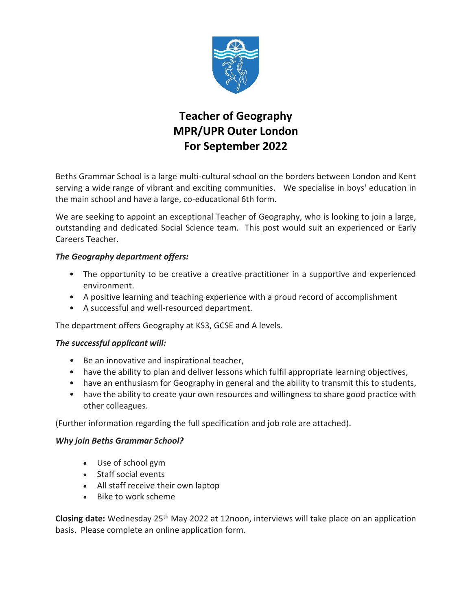

## **Teacher of Geography MPR/UPR Outer London For September 2022**

Beths Grammar School is a large multi-cultural school on the borders between London and Kent serving a wide range of vibrant and exciting communities. We specialise in boys' education in the main school and have a large, co-educational 6th form.

We are seeking to appoint an exceptional Teacher of Geography, who is looking to join a large, outstanding and dedicated Social Science team. This post would suit an experienced or Early Careers Teacher.

## *The Geography department offers:*

- The opportunity to be creative a creative practitioner in a supportive and experienced environment.
- A positive learning and teaching experience with a proud record of accomplishment
- A successful and well-resourced department.

The department offers Geography at KS3, GCSE and A levels.

## *The successful applicant will:*

- Be an innovative and inspirational teacher,
- have the ability to plan and deliver lessons which fulfil appropriate learning objectives,
- have an enthusiasm for Geography in general and the ability to transmit this to students,
- have the ability to create your own resources and willingness to share good practice with other colleagues.

(Further information regarding the full specification and job role are attached).

## *Why join Beths Grammar School?*

- Use of school gym
- Staff social events
- All staff receive their own laptop
- Bike to work scheme

**Closing date:** Wednesday 25th May 2022 at 12noon, interviews will take place on an application basis. Please complete an online application form.